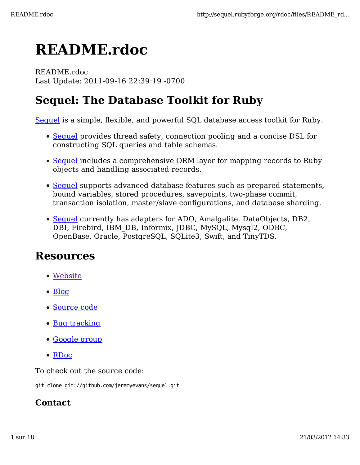# **README.rdoc**

README.rdoc Last Update: 2011-09-16 22:39:19 -0700

# **Sequel: The Database Toolkit for Ruby**

Sequel is a simple, flexible, and powerful SQL database access toolkit for Ruby.

- Sequel provides thread safety, connection pooling and a concise DSL for constructing SQL queries and table schemas.
- Sequel includes a comprehensive ORM layer for mapping records to Ruby objects and handling associated records.
- Sequel supports advanced database features such as prepared statements, bound variables, stored procedures, savepoints, two-phase commit, transaction isolation, master/slave configurations, and database sharding.
- Sequel currently has adapters for ADO, Amalgalite, DataObjects, DB2, DBI, Firebird, IBM\_DB, Informix, JDBC, MySQL, Mysql2, ODBC, OpenBase, Oracle, PostgreSQL, SQLite3, Swift, and TinyTDS.

# **Resources**

- Website
- $\bullet$  Blog
- Source code
- Bug tracking
- Google group
- RDoc

To check out the source code:

git clone git://github.com/jeremyevans/sequel.git

#### **Contact**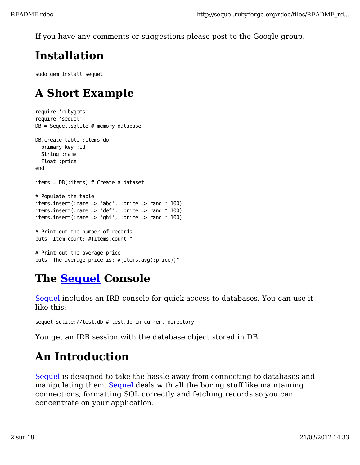If you have any comments or suggestions please post to the Google group.

# **Installation**

sudo gem install sequel

# **A Short Example**

```
require 'rubygems'
require 'sequel'
DB = Sequence1.sqlite # memory database
DB.create_table :items do
   primary_key :id
   String :name
   Float :price
end
items = DB[:items] # Create a dataset
# Populate the table
items.insert(:name => 'abc', :price => rand * 100)
items.insert(:name => 'def', :price => rand * 100)
items.insert(:name => 'ghi', :price => rand * 100)
# Print out the number of records
puts "Item count: #{items.count}"
# Print out the average price
```
# **The Sequel Console**

puts "The average price is: #{items.avg(:price)}"

Sequel includes an IRB console for quick access to databases. You can use it like this:

```
sequel sqlite://test.db # test.db in current directory
```
You get an IRB session with the database object stored in DB.

# **An Introduction**

Sequel is designed to take the hassle away from connecting to databases and manipulating them. Sequel deals with all the boring stuff like maintaining connections, formatting SQL correctly and fetching records so you can concentrate on your application.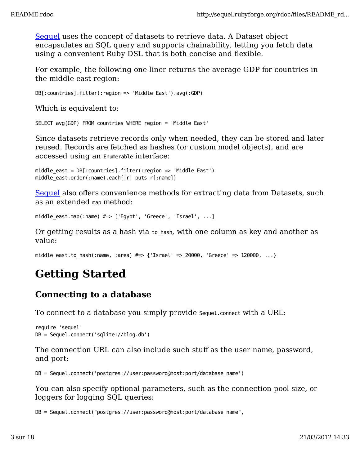Sequel uses the concept of datasets to retrieve data. A Dataset object encapsulates an SQL query and supports chainability, letting you fetch data using a convenient Ruby DSL that is both concise and flexible.

For example, the following one-liner returns the average GDP for countries in the middle east region:

DB[:countries].filter(:region => 'Middle East').avg(:GDP)

Which is equivalent to:

SELECT avg(GDP) FROM countries WHERE region = 'Middle East'

Since datasets retrieve records only when needed, they can be stored and later reused. Records are fetched as hashes (or custom model objects), and are accessed using an Enumerable interface:

```
middle_east = DB[:countries].filter(:region => 'Middle East')
middle_east.order(:name).each{|r| puts r[:name]}
```
Sequel also offers convenience methods for extracting data from Datasets, such as an extended map method:

middle\_east.map(:name) #=> ['Egypt', 'Greece', 'Israel', ...]

Or getting results as a hash via to\_hash, with one column as key and another as value:

middle east.to hash(:name, :area)  $\# \Rightarrow$  {'Israel' => 20000, 'Greece' => 120000, ...}

# **Getting Started**

#### **Connecting to a database**

To connect to a database you simply provide Sequel.connect with a URL:

```
require 'sequel'
DB = Sequel.connect('sqlite://blog.db')
```
The connection URL can also include such stuff as the user name, password, and port:

DB = Sequel.connect('postgres://user:password@host:port/database\_name')

You can also specify optional parameters, such as the connection pool size, or loggers for logging SQL queries:

DB = Sequel.connect("postgres://user:password@host:port/database\_name",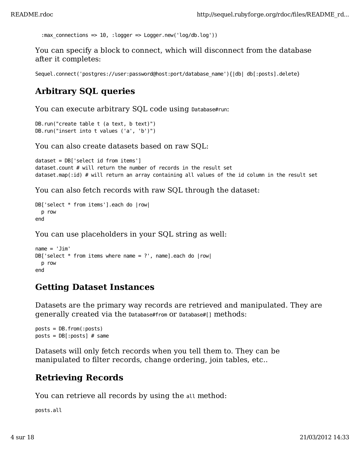```
 :max_connections => 10, :logger => Logger.new('log/db.log'))
```
You can specify a block to connect, which will disconnect from the database after it completes:

Sequel.connect('postgres://user:password@host:port/database\_name'){|db| db[:posts].delete}

# **Arbitrary SQL queries**

You can execute arbitrary SQL code using Database#run:

```
DB.run("create table t (a text, b text)")
DB.run("insert into t values ('a', 'b')")
```
You can also create datasets based on raw SQL:

```
dataset = DB['select id from items']
dataset.count # will return the number of records in the result set
dataset.map(:id) # will return an array containing all values of the id column in the result set
```
You can also fetch records with raw SQL through the dataset:

```
DB['select * from items'].each do |row|
   p row
end
```
You can use placeholders in your SQL string as well:

```
name = 'Jim'DB['select * from items where name = ?', name].each do |row| p row
end
```
#### **Getting Dataset Instances**

Datasets are the primary way records are retrieved and manipulated. They are generally created via the Database#from or Database#[] methods:

```
posts = DB.from(:posts)
posts = DB[:posts] # same
```
Datasets will only fetch records when you tell them to. They can be manipulated to filter records, change ordering, join tables, etc..

# **Retrieving Records**

You can retrieve all records by using the all method:

posts.all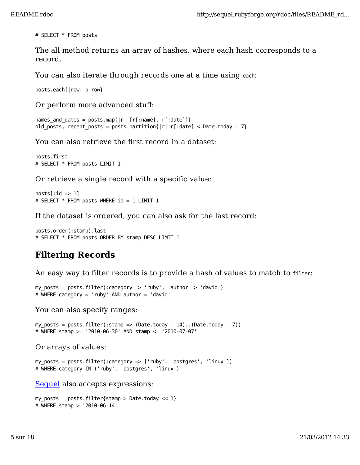# SELECT \* FROM posts

The all method returns an array of hashes, where each hash corresponds to a record.

You can also iterate through records one at a time using each:

posts.each{|row| p row}

Or perform more advanced stuff:

```
names_and_dates = posts.map{|r| [r[:name], r[:date]]}
old posts, recent posts = posts.partition{|r| r[:date] < Date.today - 7}
```
You can also retrieve the first record in a dataset:

```
posts.first
# SELECT * FROM posts LIMIT 1
```
Or retrieve a single record with a specific value:

 $posts[:id \implies 1]$ # SELECT \* FROM posts WHERE id = 1 LIMIT 1

If the dataset is ordered, you can also ask for the last record:

```
posts.order(:stamp).last
# SELECT * FROM posts ORDER BY stamp DESC LIMIT 1
```
# **Filtering Records**

An easy way to filter records is to provide a hash of values to match to filter:

```
my_posts = posts.filter(:category => 'ruby', :author => 'david')
# WHERE category = 'ruby' AND author = 'david'
```
You can also specify ranges:

```
my posts = posts.filter(:stamp => (Date.today - 14)..(Date.today - 7))
# WHERE stamp >= '2010-06-30' AND stamp <= '2010-07-07'
```
Or arrays of values:

```
my_posts = posts.filter(:category => ['ruby', 'postgres', 'linux'])
# WHERE category IN ('ruby', 'postgres', 'linux')
```
Sequel also accepts expressions:

```
my posts = posts.filter{stamp > Date.today << 1}
# WHERE stamp > '2010-06-14'
```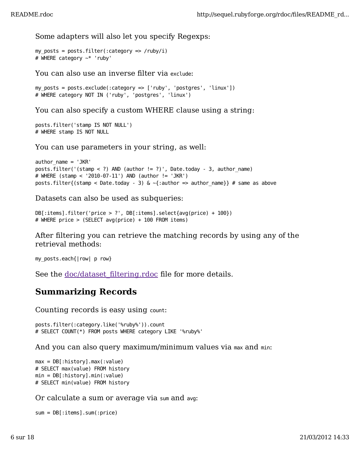Some adapters will also let you specify Regexps:

```
my_posts = posts.filter(:category => /ruby/i)
# WHERE category ~* 'ruby'
```
You can also use an inverse filter via exclude:

```
my_posts = posts.exclude(:category => ['ruby', 'postgres', 'linux'])
# WHERE category NOT IN ('ruby', 'postgres', 'linux')
```
You can also specify a custom WHERE clause using a string:

```
posts.filter('stamp IS NOT NULL')
# WHERE stamp IS NOT NULL
```
You can use parameters in your string, as well:

```
author_name = 'JKR'
posts.filter('(stamp < ?) AND (author != ?)', Date.today - 3, author_name)
# WHERE (stamp < '2010-07-11') AND (author != 'JKR')
posts.filter{(stamp < Date.today - 3) & \sim{:author => author_name}} # same as above
```
Datasets can also be used as subqueries:

```
DB[:items].filter('price > ?', DB[:items].select{avg(price) + 100})
# WHERE price > (SELECT avg(price) + 100 FROM items)
```
After filtering you can retrieve the matching records by using any of the retrieval methods:

my\_posts.each{|row| p row}

See the doc/dataset\_filtering.rdoc file for more details.

# **Summarizing Records**

Counting records is easy using count:

```
posts.filter(:category.like('%ruby%')).count
# SELECT COUNT(*) FROM posts WHERE category LIKE '%ruby%'
```
And you can also query maximum/minimum values via max and min:

```
max = DB[:history].max(:value)
# SELECT max(value) FROM history
min = DB[:history].min(:value)
# SELECT min(value) FROM history
```
Or calculate a sum or average via sum and avg:

```
sum = DB[:items].sum(:price)
```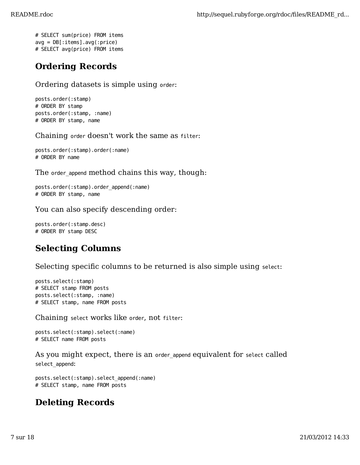```
# SELECT sum(price) FROM items
avg = DB[:items].avg(:price)
# SELECT avg(price) FROM items
```
# **Ordering Records**

Ordering datasets is simple using order:

posts.order(:stamp) # ORDER BY stamp posts.order(:stamp, :name) # ORDER BY stamp, name

Chaining order doesn't work the same as filter:

posts.order(:stamp).order(:name) # ORDER BY name

The order append method chains this way, though:

posts.order(:stamp).order\_append(:name) # ORDER BY stamp, name

You can also specify descending order:

posts.order(:stamp.desc) # ORDER BY stamp DESC

### **Selecting Columns**

Selecting specific columns to be returned is also simple using select:

posts.select(:stamp) # SELECT stamp FROM posts posts.select(:stamp, :name) # SELECT stamp, name FROM posts

Chaining select works like order, not filter:

```
posts.select(:stamp).select(:name)
# SELECT name FROM posts
```
As you might expect, there is an order\_append equivalent for select called select\_append:

posts.select(:stamp).select\_append(:name) # SELECT stamp, name FROM posts

### **Deleting Records**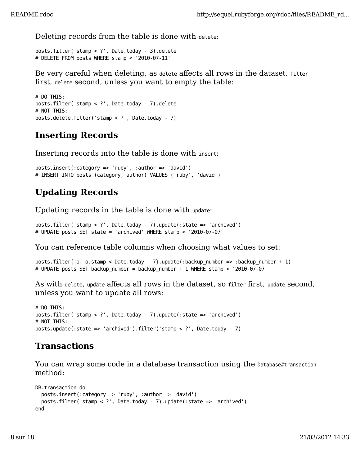Deleting records from the table is done with delete:

posts.filter('stamp < ?', Date.today - 3).delete # DELETE FROM posts WHERE stamp < '2010-07-11'

Be very careful when deleting, as delete affects all rows in the dataset. filter first, delete second, unless you want to empty the table:

```
# DO THIS:
posts.filter('stamp < ?', Date.today - 7).delete
# NOT THIS:
posts.delete.filter('stamp < ?', Date.today - 7)
```
# **Inserting Records**

Inserting records into the table is done with insert:

```
posts.insert(:category => 'ruby', :author => 'david')
# INSERT INTO posts (category, author) VALUES ('ruby', 'david')
```
## **Updating Records**

Updating records in the table is done with update:

```
posts.filter('stamp < ?', Date.today - 7).update(:state => 'archived')
# UPDATE posts SET state = 'archived' WHERE stamp < '2010-07-07'
```
You can reference table columns when choosing what values to set:

```
posts.filter{|o| o.stamp < Date.today - 7}.update(:backup_number => :backup_number + 1)
# UPDATE posts SET backup_number = backup_number + 1 WHERE stamp < '2010-07-07'
```
As with delete, update affects all rows in the dataset, so filter first, update second, unless you want to update all rows:

```
# DO THIS:
posts.filter('stamp < ?', Date.today - 7).update(:state => 'archived')
# NOT THIS:
posts.update(:state => 'archived').filter('stamp < ?', Date.today - 7)
```
#### **Transactions**

You can wrap some code in a database transaction using the Database#transaction method:

```
DB.transaction do
   posts.insert(:category => 'ruby', :author => 'david')
   posts.filter('stamp < ?', Date.today - 7).update(:state => 'archived')
end
```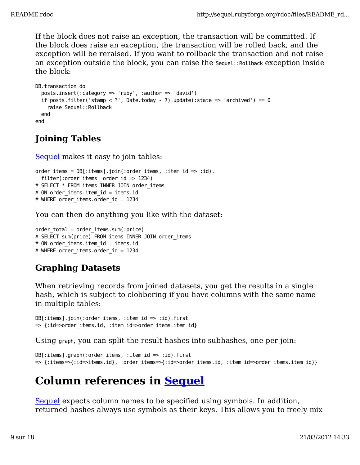If the block does not raise an exception, the transaction will be committed. If the block does raise an exception, the transaction will be rolled back, and the exception will be reraised. If you want to rollback the transaction and not raise an exception outside the block, you can raise the Sequel::Rollback exception inside the block:

```
DB.transaction do
   posts.insert(:category => 'ruby', :author => 'david')
  if posts.filter('stamp < ?', Date.today - 7).update(:state => 'archived') == 0
     raise Sequel::Rollback
   end
end
```
# **Joining Tables**

Sequel makes it easy to join tables:

```
order items = DB[:items].join::order items, ::itemid \implies id).filter(:order items order id => 1234)
# SELECT * FROM items INNER JOIN order items
# ON order items.item id = items.id
# WHERE order items.order id = 1234
```
You can then do anything you like with the dataset:

```
order total = order items.sum(:price)
# SELECT sum(price) FROM items INNER JOIN order items
# ON order items.item id = items.id
# WHERE order items.order id = 1234
```
# **Graphing Datasets**

When retrieving records from joined datasets, you get the results in a single hash, which is subject to clobbering if you have columns with the same name in multiple tables:

 $DB[:items].join::order\_items, ::tem_id \implies id).first$ => {:id=>order\_items.id, :item\_id=>order\_items.item\_id}

Using graph, you can split the result hashes into subhashes, one per join:

```
DB[:items].graph(:order_items, :item_id => :id).first
=> {:items=>{:id=>items.id}, :order_items=>{:id=>order_items.id, :item_id=>order_items.item_id}}
```
# **Column references in Sequel**

Sequel expects column names to be specified using symbols. In addition, returned hashes always use symbols as their keys. This allows you to freely mix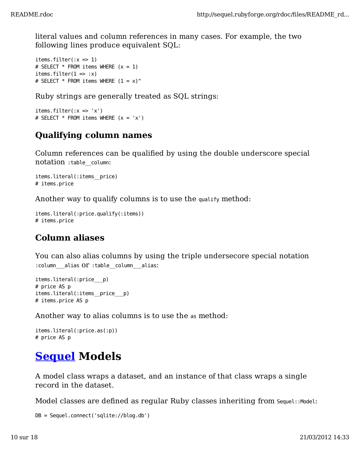literal values and column references in many cases. For example, the two following lines produce equivalent SQL:

```
items.filter(:x \Rightarrow 1)
# SELECT * FROM items WHERE (x = 1)items.filter(1 \Rightarrow :x)
# SELECT * FROM items WHERE (1 = x)"
```
Ruby strings are generally treated as SQL strings:

```
items.filter(:x \Rightarrow 'x')
# SELECT * FROM items WHERE (x = 'x')
```
### **Qualifying column names**

Column references can be qualified by using the double underscore special notation :table\_\_column:

```
items.literal(:items__price)
# items.price
```
Another way to qualify columns is to use the qualify method:

```
items.literal(:price.qualify(:items))
# items.price
```
### **Column aliases**

You can also alias columns by using the triple undersecore special notation :column alias OT :table column alias:

```
items.literal(:price___p)
# price AS p
items.literal(:items__price___p)
# items.price AS p
```
Another way to alias columns is to use the as method:

```
items.literal(:price.as(:p))
# price AS p
```
# **Sequel Models**

A model class wraps a dataset, and an instance of that class wraps a single record in the dataset.

Model classes are defined as regular Ruby classes inheriting from Sequel::Model:

```
DB = Sequel.connect('sqlite://blog.db')
```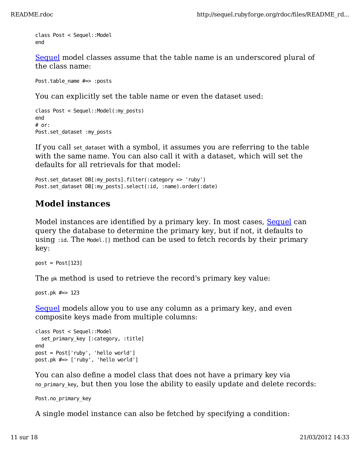```
class Post < Sequel::Model
end
```
Sequel model classes assume that the table name is an underscored plural of the class name:

Post.table\_name #=> :posts

You can explicitly set the table name or even the dataset used:

```
class Post < Sequel::Model(:my_posts)
end
# or:
Post.set_dataset :my_posts
```
If you call set\_dataset with a symbol, it assumes you are referring to the table with the same name. You can also call it with a dataset, which will set the defaults for all retrievals for that model:

Post.set\_dataset DB[:my\_posts].filter(:category => 'ruby') Post.set\_dataset DB[:my\_posts].select(:id, :name).order(:date)

#### **Model instances**

Model instances are identified by a primary key. In most cases, Sequel can query the database to determine the primary key, but if not, it defaults to using : id. The Model. [] method can be used to fetch records by their primary key:

 $post = Post[123]$ 

The pk method is used to retrieve the record's primary key value:

```
post.pk #=> 123
```
Sequel models allow you to use any column as a primary key, and even composite keys made from multiple columns:

```
class Post < Sequel::Model
   set_primary_key [:category, :title]
end
post = Post['ruby', 'hello world']
post.pk #=> ['ruby', 'hello world']
```
You can also define a model class that does not have a primary key via no primary key, but then you lose the ability to easily update and delete records:

Post.no\_primary\_key

A single model instance can also be fetched by specifying a condition: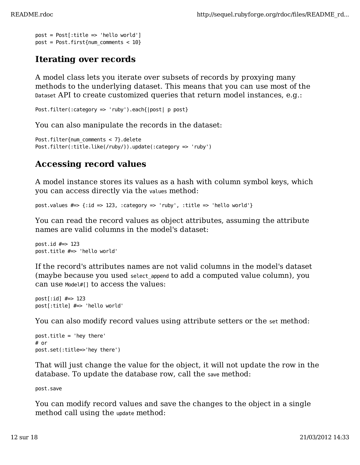```
post = Post[:title \implies 'hello world']post = Post.first{num_comments < 10}
```
#### **Iterating over records**

A model class lets you iterate over subsets of records by proxying many methods to the underlying dataset. This means that you can use most of the Dataset API to create customized queries that return model instances, e.g.:

```
Post.filter(:category => 'ruby').each{|post| p post}
```
You can also manipulate the records in the dataset:

```
Post.filter{num_comments < 7}.delete
Post.filter(:title.like(/ruby/)).update(:category => 'ruby')
```
### **Accessing record values**

A model instance stores its values as a hash with column symbol keys, which you can access directly via the values method:

post.values  $\# \Rightarrow$  {:id => 123, :category => 'ruby', :title => 'hello world'}

You can read the record values as object attributes, assuming the attribute names are valid columns in the model's dataset:

```
post.id #=> 123
post.title #=> 'hello world'
```
If the record's attributes names are not valid columns in the model's dataset (maybe because you used select\_append to add a computed value column), you can use Model#[] to access the values:

```
post[:id] #=> 123
post[:title] #=> 'hello world'
```
You can also modify record values using attribute setters or the set method:

```
post.title = 'hey there'
# or 
post.set(:title=>'hey there')
```
That will just change the value for the object, it will not update the row in the database. To update the database row, call the save method:

post.save

You can modify record values and save the changes to the object in a single method call using the update method: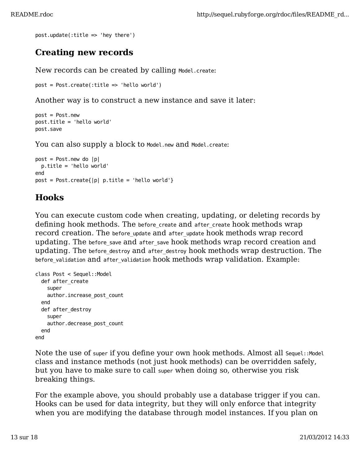```
post.update(:title => 'hey there')
```
#### **Creating new records**

New records can be created by calling Model.create:

```
post = Post.create(:title => 'hello world')
```
Another way is to construct a new instance and save it later:

```
post = Post.new
post.title = 'hello world'
post.save
```
You can also supply a block to Model.new and Model.create:

```
post = Post.new do |p| p.title = 'hello world'
end
post = Post.create{ |p| p.title = 'hello world' }
```
#### **Hooks**

You can execute custom code when creating, updating, or deleting records by defining hook methods. The before\_create and after\_create hook methods wrap record creation. The before\_update and after\_update hook methods wrap record updating. The before\_save and after\_save hook methods wrap record creation and updating. The before\_destroy and after\_destroy hook methods wrap destruction. The before\_validation and after\_validation hook methods wrap validation. Example:

```
class Post < Sequel::Model
   def after_create
     super
     author.increase_post_count
   end
   def after_destroy
    super
     author.decrease_post_count
   end
end
```
Note the use of super if you define your own hook methods. Almost all Sequel::Model class and instance methods (not just hook methods) can be overridden safely, but you have to make sure to call super when doing so, otherwise you risk breaking things.

For the example above, you should probably use a database trigger if you can. Hooks can be used for data integrity, but they will only enforce that integrity when you are modifying the database through model instances. If you plan on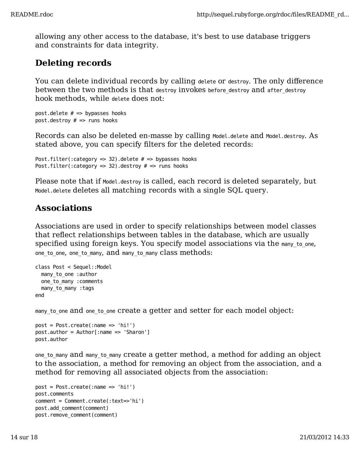allowing any other access to the database, it's best to use database triggers and constraints for data integrity.

# **Deleting records**

You can delete individual records by calling delete or destroy. The only difference between the two methods is that destroy invokes before destroy and after destroy hook methods, while delete does not:

```
post.delete # \Rightarrow bypasses hooks
post.destroy # \implies runs hooks
```
Records can also be deleted en-masse by calling Model.delete and Model.destroy. As stated above, you can specify filters for the deleted records:

```
Post.filter(:category => 32).delete # => bypasses hooks
Post.filter(:category => 32).destroy # \Rightarrow runs hooks
```
Please note that if Model.destroy is called, each record is deleted separately, but Model.delete deletes all matching records with a single SQL query.

#### **Associations**

Associations are used in order to specify relationships between model classes that reflect relationships between tables in the database, which are usually specified using foreign keys. You specify model associations via the many to one, one\_to\_one, one\_to\_many, and many\_to\_many class methods:

```
class Post < Sequel::Model
   many_to_one :author
   one_to_many :comments
 many to many : tags
end
```
many to one and one to one create a getter and setter for each model object:

```
post = Post.create(:name => 'hi!')
post.author = Author[:name => 'Sharon']
post.author
```
one\_to\_many and many\_to\_many create a getter method, a method for adding an object to the association, a method for removing an object from the association, and a method for removing all associated objects from the association:

```
post = Post.create('name =& 'hi!)post.comments
comment = Comment.create(:text=>'hi')
post.add_comment(comment)
post.remove_comment(comment)
```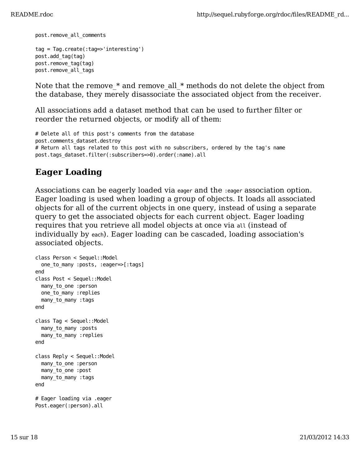post.remove\_all\_comments

```
tag = Tag.create(:tag=>'interesting')
post.add_tag(tag)
post.remove_tag(tag)
post.remove_all_tags
```
Note that the remove  $*$  and remove all  $*$  methods do not delete the object from the database, they merely disassociate the associated object from the receiver.

All associations add a dataset method that can be used to further filter or reorder the returned objects, or modify all of them:

```
# Delete all of this post's comments from the database
post.comments_dataset.destroy
# Return all tags related to this post with no subscribers, ordered by the tag's name
post.tags_dataset.filter(:subscribers=>0).order(:name).all
```
## **Eager Loading**

Associations can be eagerly loaded via eager and the :eager association option. Eager loading is used when loading a group of objects. It loads all associated objects for all of the current objects in one query, instead of using a separate query to get the associated objects for each current object. Eager loading requires that you retrieve all model objects at once via all (instead of individually by each). Eager loading can be cascaded, loading association's associated objects.

```
class Person < Sequel::Model
   one_to_many :posts, :eager=>[:tags]
end
class Post < Sequel::Model
 many to one :person
 one to many : replies
  many to many : tags
end
class Tag < Sequel::Model
  many to many :posts
 many to many :replies
end
class Reply < Sequel::Model
  many to one :person
 many to one :post
 many to many : tags
end
# Eager loading via .eager
Post.eager(:person).all
```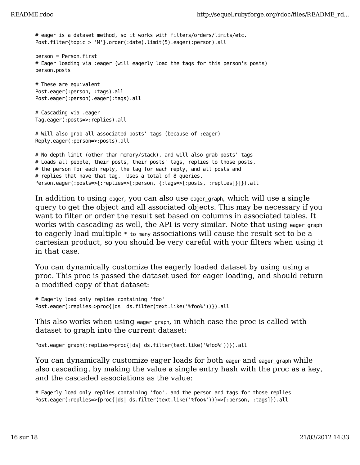# eager is a dataset method, so it works with filters/orders/limits/etc. Post.filter{topic > 'M'}.order(:date).limit(5).eager(:person).all person = Person.first # Eager loading via :eager (will eagerly load the tags for this person's posts) person.posts # These are equivalent Post.eager(:person, :tags).all Post.eager(:person).eager(:tags).all # Cascading via .eager Tag.eager(:posts=>:replies).all # Will also grab all associated posts' tags (because of :eager) Reply.eager(:person=>:posts).all # No depth limit (other than memory/stack), and will also grab posts' tags # Loads all people, their posts, their posts' tags, replies to those posts, # the person for each reply, the tag for each reply, and all posts and # replies that have that tag. Uses a total of 8 queries. Person.eager(:posts=>{:replies=>[:person, {:tags=>[:posts, :replies]}]}).all

In addition to using eager, you can also use eager\_graph, which will use a single query to get the object and all associated objects. This may be necessary if you want to filter or order the result set based on columns in associated tables. It works with cascading as well, the API is very similar. Note that using eager graph to eagerly load multiple  $*$  to many associations will cause the result set to be a cartesian product, so you should be very careful with your filters when using it in that case.

You can dynamically customize the eagerly loaded dataset by using using a proc. This proc is passed the dataset used for eager loading, and should return a modified copy of that dataset:

```
# Eagerly load only replies containing 'foo'
Post.eager(:replies=>proc{|ds| ds.filter(text.like('%foo%'))}).all
```
This also works when using eager\_graph, in which case the proc is called with dataset to graph into the current dataset:

```
Post.eager_graph(:replies=>proc{|ds| ds.filter(text.like('%foo%'))}).all
```
You can dynamically customize eager loads for both eager and eager\_graph while also cascading, by making the value a single entry hash with the proc as a key, and the cascaded associations as the value:

# Eagerly load only replies containing 'foo', and the person and tags for those replies Post.eager(:replies=>{proc{|ds| ds.filter(text.like('%foo%'))}=>[:person, :tags]}).all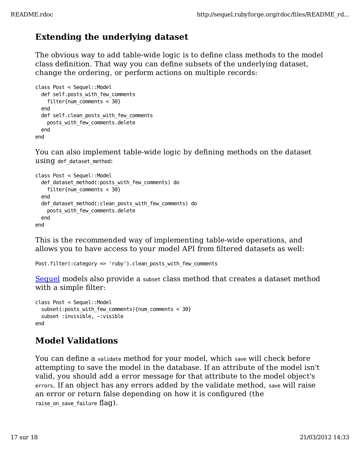# **Extending the underlying dataset**

The obvious way to add table-wide logic is to define class methods to the model class definition. That way you can define subsets of the underlying dataset, change the ordering, or perform actions on multiple records:

```
class Post < Sequel::Model
  def self.posts with few comments
     filter{num_comments < 30}
   end
   def self.clean_posts_with_few_comments
     posts_with_few_comments.delete
   end
end
```
You can also implement table-wide logic by defining methods on the dataset using def\_dataset\_method:

```
class Post < Sequel::Model
  def dataset method(:posts with few comments) do
     filter{num_comments < 30}
   end
   def_dataset_method(:clean_posts_with_few_comments) do
    posts with few comments.delete
   end
end
```
This is the recommended way of implementing table-wide operations, and allows you to have access to your model API from filtered datasets as well:

Post.filter(:category => 'ruby').clean\_posts\_with\_few\_comments

Sequel models also provide a subset class method that creates a dataset method with a simple filter:

```
class Post < Sequel::Model
   subset(:posts_with_few_comments){num_comments < 30}
   subset :invisible, ~:visible
end
```
### **Model Validations**

You can define a validate method for your model, which save will check before attempting to save the model in the database. If an attribute of the model isn't valid, you should add a error message for that attribute to the model object's errors. If an object has any errors added by the validate method, save will raise an error or return false depending on how it is configured (the raise on save failure flag).